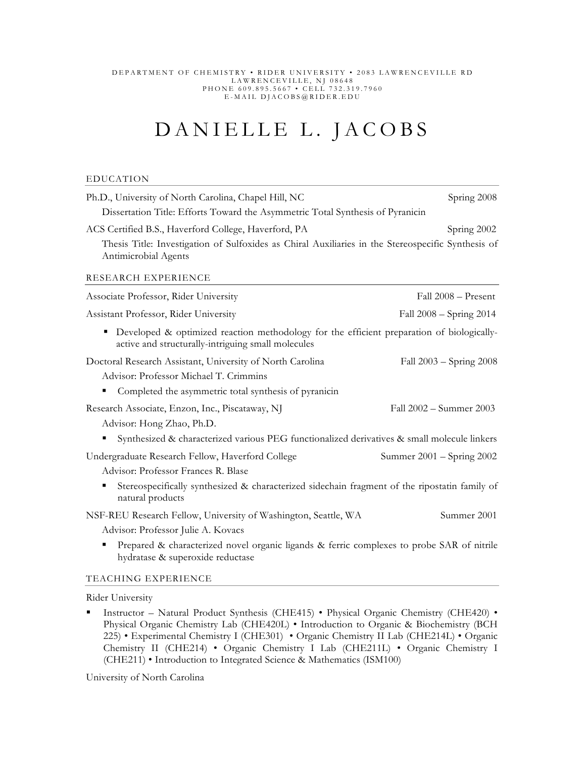#### DEPARTMENT OF CHEMISTRY • RIDER UNIVERSITY • 2083 LAWRENCEVILLE RD LAWRENCEVILLE, NJ 08 648 PHONE 609.895.5667 • CELL 732.319.7960 E-MAIL DJACOBS@RIDER.EDU

# DANIELLE L. JACOBS

#### EDUCATION

| Ph.D., University of North Carolina, Chapel Hill, NC                                                                                                 | Spring 2008               |
|------------------------------------------------------------------------------------------------------------------------------------------------------|---------------------------|
| Dissertation Title: Efforts Toward the Asymmetric Total Synthesis of Pyranicin                                                                       |                           |
| ACS Certified B.S., Haverford College, Haverford, PA                                                                                                 | Spring 2002               |
| Thesis Title: Investigation of Sulfoxides as Chiral Auxiliaries in the Stereospecific Synthesis of<br>Antimicrobial Agents                           |                           |
| RESEARCH EXPERIENCE                                                                                                                                  |                           |
| Associate Professor, Rider University                                                                                                                | Fall 2008 – Present       |
| Assistant Professor, Rider University                                                                                                                | Fall 2008 – Spring 2014   |
| Developed & optimized reaction methodology for the efficient preparation of biologically-<br>٠<br>active and structurally-intriguing small molecules |                           |
| Doctoral Research Assistant, University of North Carolina                                                                                            | Fall 2003 – Spring 2008   |
| Advisor: Professor Michael T. Crimmins                                                                                                               |                           |
| Completed the asymmetric total synthesis of pyranicin                                                                                                |                           |
| Research Associate, Enzon, Inc., Piscataway, NJ                                                                                                      | Fall 2002 - Summer 2003   |
| Advisor: Hong Zhao, Ph.D.                                                                                                                            |                           |
| Synthesized & characterized various PEG functionalized derivatives & small molecule linkers                                                          |                           |
| Undergraduate Research Fellow, Haverford College                                                                                                     | Summer 2001 – Spring 2002 |
| Advisor: Professor Frances R. Blase                                                                                                                  |                           |
| Stereospecifically synthesized & characterized sidechain fragment of the ripostatin family of<br>natural products                                    |                           |
| NSF-REU Research Fellow, University of Washington, Seattle, WA                                                                                       | Summer 2001               |
| Advisor: Professor Julie A. Kovacs                                                                                                                   |                           |
| Prepared & characterized novel organic ligands & ferric complexes to probe SAR of nitrile<br>hydratase & superoxide reductase                        |                           |

### TEACHING EXPERIENCE

Rider University

Instructor – Natural Product Synthesis (CHE415) • Physical Organic Chemistry (CHE420) • Physical Organic Chemistry Lab (CHE420L) • Introduction to Organic & Biochemistry (BCH 225) • Experimental Chemistry I (CHE301) • Organic Chemistry II Lab (CHE214L) • Organic Chemistry II (CHE214) • Organic Chemistry I Lab (CHE211L) • Organic Chemistry I (CHE211) • Introduction to Integrated Science & Mathematics (ISM100)

University of North Carolina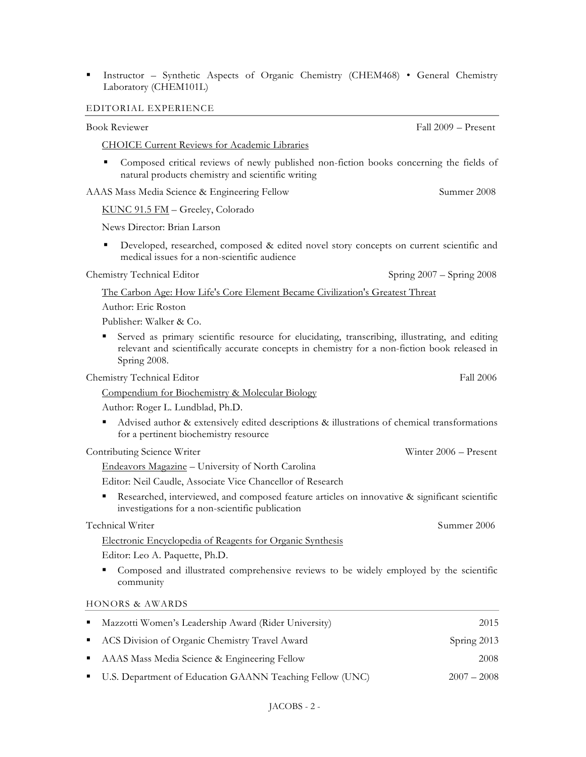Instructor – Synthetic Aspects of Organic Chemistry (CHEM468) • General Chemistry Laboratory (CHEM101L)

#### EDITORIAL EXPERIENCE

| <b>CHOICE Current Reviews for Academic Libraries</b> |
|------------------------------------------------------|
|------------------------------------------------------|

 Composed critical reviews of newly published non-fiction books concerning the fields of natural products chemistry and scientific writing

AAAS Mass Media Science & Engineering Fellow Summer 2008

KUNC 91.5 FM – Greeley, Colorado

News Director: Brian Larson

**Developed, researched, composed & edited novel story concepts on current scientific and** medical issues for a non-scientific audience

Chemistry Technical Editor Spring 2007 – Spring 2008

The Carbon Age: How Life's Core Element Became Civilization's Greatest Threat

Author: Eric Roston

Publisher: Walker & Co.

 Served as primary scientific resource for elucidating, transcribing, illustrating, and editing relevant and scientifically accurate concepts in chemistry for a non-fiction book released in Spring 2008.

Chemistry Technical Editor Fall 2006

Compendium for Biochemistry & Molecular Biology

Author: Roger L. Lundblad, Ph.D.

 Advised author & extensively edited descriptions & illustrations of chemical transformations for a pertinent biochemistry resource

Contributing Science Writer Winter 2006 – Present

Endeavors Magazine – University of North Carolina

Editor: Neil Caudle, Associate Vice Chancellor of Research

Researched, interviewed, and composed feature articles on innovative & significant scientific investigations for a non-scientific publication

Technical Writer Summer 2006

Electronic Encyclopedia of Reagents for Organic Synthesis

Editor: Leo A. Paquette, Ph.D.

 Composed and illustrated comprehensive reviews to be widely employed by the scientific community

HONORS & AWARDS

| • Mazzotti Women's Leadership Award (Rider University)     | 2015          |
|------------------------------------------------------------|---------------|
| • ACS Division of Organic Chemistry Travel Award           | Spring 2013   |
| • AAAS Mass Media Science & Engineering Fellow             | 2008          |
| • U.S. Department of Education GAANN Teaching Fellow (UNC) | $2007 - 2008$ |

Book Reviewer Fall 2009 – Present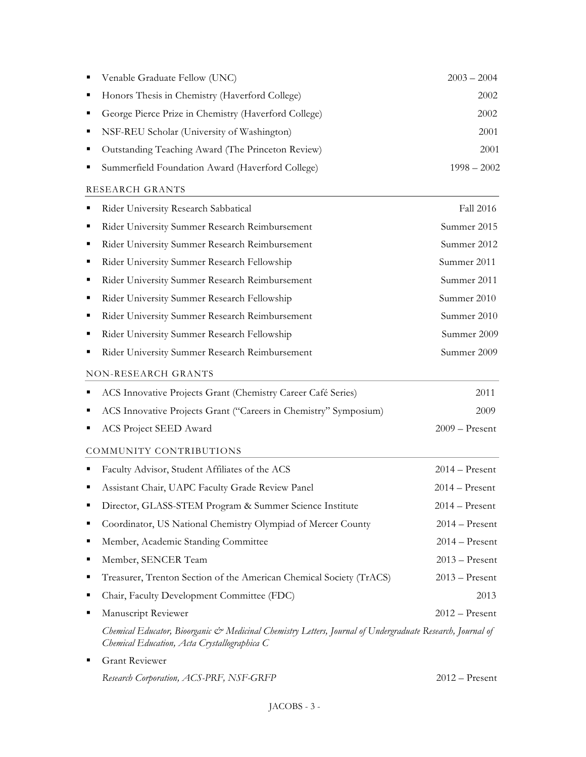|   | Venable Graduate Fellow (UNC)                                                                                                                              | $2003 - 2004$    |
|---|------------------------------------------------------------------------------------------------------------------------------------------------------------|------------------|
| ٠ | Honors Thesis in Chemistry (Haverford College)                                                                                                             | 2002             |
|   | George Pierce Prize in Chemistry (Haverford College)                                                                                                       | 2002             |
| ٠ | NSF-REU Scholar (University of Washington)                                                                                                                 | 2001             |
|   | Outstanding Teaching Award (The Princeton Review)                                                                                                          | 2001             |
|   | Summerfield Foundation Award (Haverford College)                                                                                                           | $1998 - 2002$    |
|   | RESEARCH GRANTS                                                                                                                                            |                  |
|   | Rider University Research Sabbatical                                                                                                                       | Fall 2016        |
| п | Rider University Summer Research Reimbursement                                                                                                             | Summer 2015      |
| ■ | Rider University Summer Research Reimbursement                                                                                                             | Summer 2012      |
| ٠ | Rider University Summer Research Fellowship                                                                                                                | Summer 2011      |
| ٠ | Rider University Summer Research Reimbursement                                                                                                             | Summer 2011      |
| ٠ | Rider University Summer Research Fellowship                                                                                                                | Summer 2010      |
| ٠ | Rider University Summer Research Reimbursement                                                                                                             | Summer 2010      |
| ▪ | Rider University Summer Research Fellowship                                                                                                                | Summer 2009      |
|   | Rider University Summer Research Reimbursement                                                                                                             | Summer 2009      |
|   | NON-RESEARCH GRANTS                                                                                                                                        |                  |
|   | ACS Innovative Projects Grant (Chemistry Career Café Series)                                                                                               | 2011             |
|   | ACS Innovative Projects Grant ("Careers in Chemistry" Symposium)                                                                                           | 2009             |
|   | ACS Project SEED Award                                                                                                                                     | $2009 -$ Present |
|   | COMMUNITY CONTRIBUTIONS                                                                                                                                    |                  |
| ٠ | Faculty Advisor, Student Affiliates of the ACS                                                                                                             | $2014 -$ Present |
|   | Assistant Chair, UAPC Faculty Grade Review Panel                                                                                                           | $2014 -$ Present |
|   | Director, GLASS-STEM Program & Summer Science Institute                                                                                                    | $2014 -$ Present |
|   | Coordinator, US National Chemistry Olympiad of Mercer County                                                                                               | $2014 -$ Present |
| ٠ | Member, Academic Standing Committee                                                                                                                        | $2014 -$ Present |
| ٠ | Member, SENCER Team                                                                                                                                        | $2013 -$ Present |
| ٠ | Treasurer, Trenton Section of the American Chemical Society (TrACS)                                                                                        | $2013 -$ Present |
| ٠ | Chair, Faculty Development Committee (FDC)                                                                                                                 | 2013             |
| ٠ | Manuscript Reviewer                                                                                                                                        | $2012 -$ Present |
|   | Chemical Educator, Bioorganic & Medicinal Chemistry Letters, Journal of Undergraduate Research, Journal of<br>Chemical Education, Acta Crystallographica C |                  |
| ■ | Grant Reviewer                                                                                                                                             |                  |
|   | Research Corporation, ACS-PRF, NSF-GRFP                                                                                                                    | $2012 -$ Present |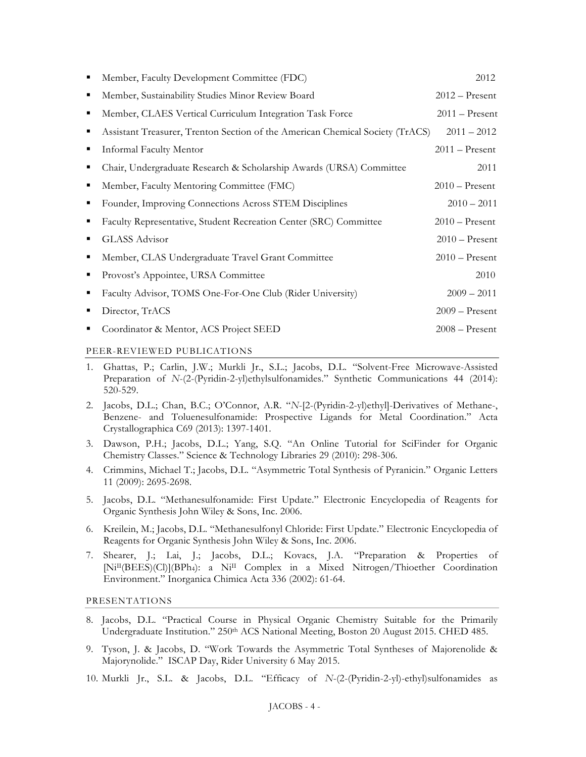|   | Member, Faculty Development Committee (FDC)                                   | 2012             |
|---|-------------------------------------------------------------------------------|------------------|
| п | Member, Sustainability Studies Minor Review Board                             | $2012 -$ Present |
| п | Member, CLAES Vertical Curriculum Integration Task Force                      | $2011 -$ Present |
|   | Assistant Treasurer, Trenton Section of the American Chemical Society (TrACS) | $2011 - 2012$    |
|   | Informal Faculty Mentor                                                       | $2011 -$ Present |
|   | Chair, Undergraduate Research & Scholarship Awards (URSA) Committee           | 2011             |
| п | Member, Faculty Mentoring Committee (FMC)                                     | $2010 -$ Present |
| п | Founder, Improving Connections Across STEM Disciplines                        | $2010 - 2011$    |
| п | Faculty Representative, Student Recreation Center (SRC) Committee             | $2010$ – Present |
|   | GLASS Advisor                                                                 | $2010$ – Present |
|   | Member, CLAS Undergraduate Travel Grant Committee                             | $2010$ – Present |
| п | Provost's Appointee, URSA Committee                                           | 2010             |
| п | Faculty Advisor, TOMS One-For-One Club (Rider University)                     | $2009 - 2011$    |
|   | Director, TrACS                                                               | $2009 -$ Present |
|   | Coordinator & Mentor, ACS Project SEED                                        | $2008 -$ Present |
|   |                                                                               |                  |

## PEER-REVIEWED PUBLICATIONS

- 1. Ghattas, P.; Carlin, J.W.; Murkli Jr., S.L.; Jacobs, D.L. "Solvent-Free Microwave-Assisted Preparation of *N*-(2-(Pyridin-2-yl)ethylsulfonamides." Synthetic Communications 44 (2014): 520-529.
- 2. Jacobs, D.L.; Chan, B.C.; O'Connor, A.R. "*N*-[2-(Pyridin-2-yl)ethyl]-Derivatives of Methane-, Benzene- and Toluenesulfonamide: Prospective Ligands for Metal Coordination." Acta Crystallographica C69 (2013): 1397-1401.
- 3. Dawson, P.H.; Jacobs, D.L.; Yang, S.Q. "An Online Tutorial for SciFinder for Organic Chemistry Classes." Science & Technology Libraries 29 (2010): 298-306*.*
- 4. Crimmins, Michael T.; Jacobs, D.L. "Asymmetric Total Synthesis of Pyranicin." Organic Letters 11 (2009): 2695-2698.
- 5. Jacobs, D.L. "Methanesulfonamide: First Update." Electronic Encyclopedia of Reagents for Organic Synthesis John Wiley & Sons, Inc. 2006.
- 6. Kreilein, M.; Jacobs, D.L. "Methanesulfonyl Chloride: First Update." Electronic Encyclopedia of Reagents for Organic Synthesis John Wiley & Sons, Inc. 2006.
- 7. Shearer, J.; Lai, J.; Jacobs, D.L.; Kovacs, J.A. "Preparation & Properties of [NiII(BEES)(Cl)](BPh4): a NiII Complex in a Mixed Nitrogen/Thioether Coordination Environment." Inorganica Chimica Acta 336 (2002): 61-64.

PRESENTATIONS

- 8. Jacobs, D.L. "Practical Course in Physical Organic Chemistry Suitable for the Primarily Undergraduate Institution." 250<sup>th</sup> ACS National Meeting, Boston 20 August 2015. CHED 485.
- 9. Tyson, J. & Jacobs, D. "Work Towards the Asymmetric Total Syntheses of Majorenolide & Majorynolide." ISCAP Day, Rider University 6 May 2015.
- 10. Murkli Jr., S.L. & Jacobs, D.L. "Efficacy of *N*-(2-(Pyridin-2-yl)-ethyl)sulfonamides as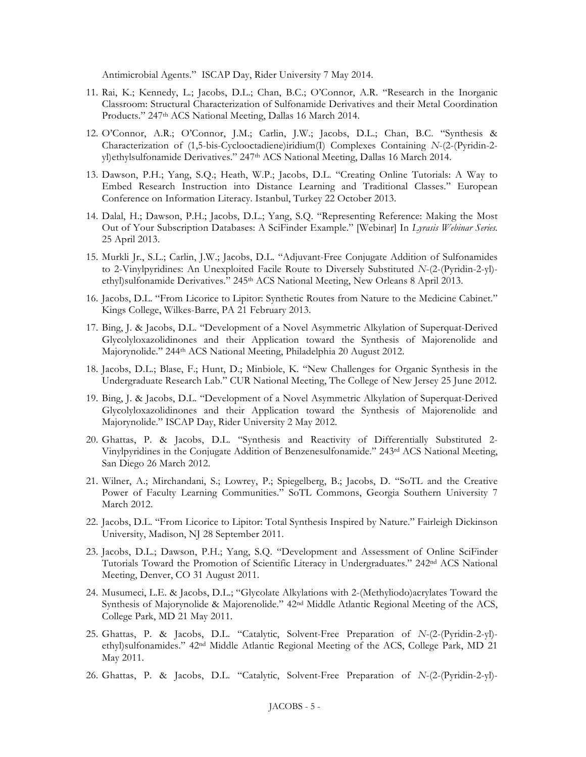Antimicrobial Agents." ISCAP Day, Rider University 7 May 2014.

- 11. Rai, K.; Kennedy, L.; Jacobs, D.L.; Chan, B.C.; O'Connor, A.R. "Research in the Inorganic Classroom: Structural Characterization of Sulfonamide Derivatives and their Metal Coordination Products." 247th ACS National Meeting, Dallas 16 March 2014.
- 12. O'Connor, A.R.; O'Connor, J.M.; Carlin, J.W.; Jacobs, D.L.; Chan, B.C. "Synthesis & Characterization of (1,5-bis-Cyclooctadiene)iridium(I) Complexes Containing *N*-(2-(Pyridin-2 yl)ethylsulfonamide Derivatives." 247<sup>th</sup> ACS National Meeting, Dallas 16 March 2014.
- 13. Dawson, P.H.; Yang, S.Q.; Heath, W.P.; Jacobs, D.L. "Creating Online Tutorials: A Way to Embed Research Instruction into Distance Learning and Traditional Classes." European Conference on Information Literacy. Istanbul, Turkey 22 October 2013.
- 14. Dalal, H.; Dawson, P.H.; Jacobs, D.L.; Yang, S.Q. "Representing Reference: Making the Most Out of Your Subscription Databases: A SciFinder Example." [Webinar] In *Lyrasis Webinar Series.* 25 April 2013.
- 15. Murkli Jr., S.L.; Carlin, J.W.; Jacobs, D.L. "Adjuvant-Free Conjugate Addition of Sulfonamides to 2-Vinylpyridines: An Unexploited Facile Route to Diversely Substituted *N*-(2-(Pyridin-2-yl) ethyl)sulfonamide Derivatives." 245<sup>th</sup> ACS National Meeting, New Orleans 8 April 2013.
- 16. Jacobs, D.L. "From Licorice to Lipitor: Synthetic Routes from Nature to the Medicine Cabinet." Kings College, Wilkes-Barre, PA 21 February 2013.
- 17. Bing, J. & Jacobs, D.L. "Development of a Novel Asymmetric Alkylation of Superquat-Derived Glycolyloxazolidinones and their Application toward the Synthesis of Majorenolide and Majorynolide." 244th ACS National Meeting, Philadelphia 20 August 2012.
- 18. Jacobs, D.L.; Blase, F.; Hunt, D.; Minbiole, K. "New Challenges for Organic Synthesis in the Undergraduate Research Lab." CUR National Meeting, The College of New Jersey 25 June 2012.
- 19. Bing, J. & Jacobs, D.L. "Development of a Novel Asymmetric Alkylation of Superquat-Derived Glycolyloxazolidinones and their Application toward the Synthesis of Majorenolide and Majorynolide." ISCAP Day, Rider University 2 May 2012.
- 20. Ghattas, P. & Jacobs, D.L. "Synthesis and Reactivity of Differentially Substituted 2- Vinylpyridines in the Conjugate Addition of Benzenesulfonamide." 243rd ACS National Meeting, San Diego 26 March 2012.
- 21. Wilner, A.; Mirchandani, S.; Lowrey, P.; Spiegelberg, B.; Jacobs, D. "SoTL and the Creative Power of Faculty Learning Communities." SoTL Commons, Georgia Southern University 7 March 2012.
- 22. Jacobs, D.L. "From Licorice to Lipitor: Total Synthesis Inspired by Nature." Fairleigh Dickinson University, Madison, NJ 28 September 2011.
- 23. Jacobs, D.L.; Dawson, P.H.; Yang, S.Q. "Development and Assessment of Online SciFinder Tutorials Toward the Promotion of Scientific Literacy in Undergraduates." 242nd ACS National Meeting, Denver, CO 31 August 2011.
- 24. Musumeci, L.E. & Jacobs, D.L.; "Glycolate Alkylations with 2-(Methyliodo)acrylates Toward the Synthesis of Majorynolide & Majorenolide." 42nd Middle Atlantic Regional Meeting of the ACS, College Park, MD 21 May 2011.
- 25. Ghattas, P. & Jacobs, D.L. "Catalytic, Solvent-Free Preparation of *N*-(2-(Pyridin-2-yl) ethyl)sulfonamides." 42nd Middle Atlantic Regional Meeting of the ACS, College Park, MD 21 May 2011.
- 26. Ghattas, P. & Jacobs, D.L. "Catalytic, Solvent-Free Preparation of *N*-(2-(Pyridin-2-yl)-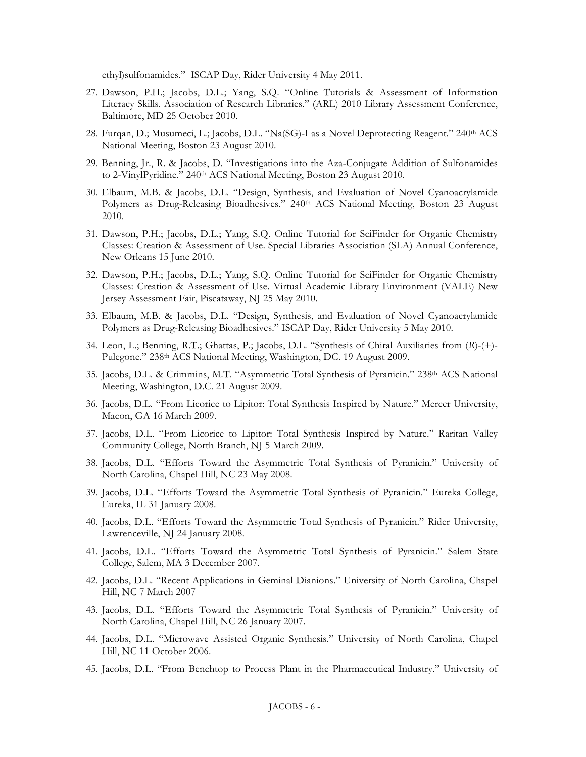ethyl)sulfonamides." ISCAP Day, Rider University 4 May 2011.

- 27. Dawson, P.H.; Jacobs, D.L.; Yang, S.Q. "Online Tutorials & Assessment of Information Literacy Skills. Association of Research Libraries." (ARL) 2010 Library Assessment Conference, Baltimore, MD 25 October 2010.
- 28. Furqan, D.; Musumeci, L.; Jacobs, D.L. "Na(SG)-I as a Novel Deprotecting Reagent." 240<sup>th</sup> ACS National Meeting, Boston 23 August 2010.
- 29. Benning, Jr., R. & Jacobs, D. "Investigations into the Aza-Conjugate Addition of Sulfonamides to 2-VinylPyridine." 240th ACS National Meeting, Boston 23 August 2010.
- 30. Elbaum, M.B. & Jacobs, D.L. "Design, Synthesis, and Evaluation of Novel Cyanoacrylamide Polymers as Drug-Releasing Bioadhesives." 240th ACS National Meeting, Boston 23 August 2010.
- 31. Dawson, P.H.; Jacobs, D.L.; Yang, S.Q. Online Tutorial for SciFinder for Organic Chemistry Classes: Creation & Assessment of Use. Special Libraries Association (SLA) Annual Conference, New Orleans 15 June 2010.
- 32. Dawson, P.H.; Jacobs, D.L.; Yang, S.Q. Online Tutorial for SciFinder for Organic Chemistry Classes: Creation & Assessment of Use. Virtual Academic Library Environment (VALE) New Jersey Assessment Fair, Piscataway, NJ 25 May 2010.
- 33. Elbaum, M.B. & Jacobs, D.L. "Design, Synthesis, and Evaluation of Novel Cyanoacrylamide Polymers as Drug-Releasing Bioadhesives." ISCAP Day, Rider University 5 May 2010.
- 34. Leon, L.; Benning, R.T.; Ghattas, P.; Jacobs, D.L. "Synthesis of Chiral Auxiliaries from (*R*)-(+)- Pulegone." 238<sup>th</sup> ACS National Meeting, Washington, DC. 19 August 2009.
- 35. Jacobs, D.L. & Crimmins, M.T. "Asymmetric Total Synthesis of Pyranicin." 238<sup>th</sup> ACS National Meeting, Washington, D.C. 21 August 2009.
- 36. Jacobs, D.L. "From Licorice to Lipitor: Total Synthesis Inspired by Nature." Mercer University, Macon, GA 16 March 2009.
- 37. Jacobs, D.L. "From Licorice to Lipitor: Total Synthesis Inspired by Nature." Raritan Valley Community College, North Branch, NJ 5 March 2009.
- 38. Jacobs, D.L. "Efforts Toward the Asymmetric Total Synthesis of Pyranicin." University of North Carolina, Chapel Hill, NC 23 May 2008.
- 39. Jacobs, D.L. "Efforts Toward the Asymmetric Total Synthesis of Pyranicin." Eureka College, Eureka, IL 31 January 2008.
- 40. Jacobs, D.L. "Efforts Toward the Asymmetric Total Synthesis of Pyranicin." Rider University, Lawrenceville, NJ 24 January 2008.
- 41. Jacobs, D.L. "Efforts Toward the Asymmetric Total Synthesis of Pyranicin." Salem State College, Salem, MA 3 December 2007.
- 42. Jacobs, D.L. "Recent Applications in Geminal Dianions." University of North Carolina, Chapel Hill, NC 7 March 2007
- 43. Jacobs, D.L. "Efforts Toward the Asymmetric Total Synthesis of Pyranicin." University of North Carolina, Chapel Hill, NC 26 January 2007.
- 44. Jacobs, D.L. "Microwave Assisted Organic Synthesis." University of North Carolina, Chapel Hill, NC 11 October 2006.
- 45. Jacobs, D.L. "From Benchtop to Process Plant in the Pharmaceutical Industry." University of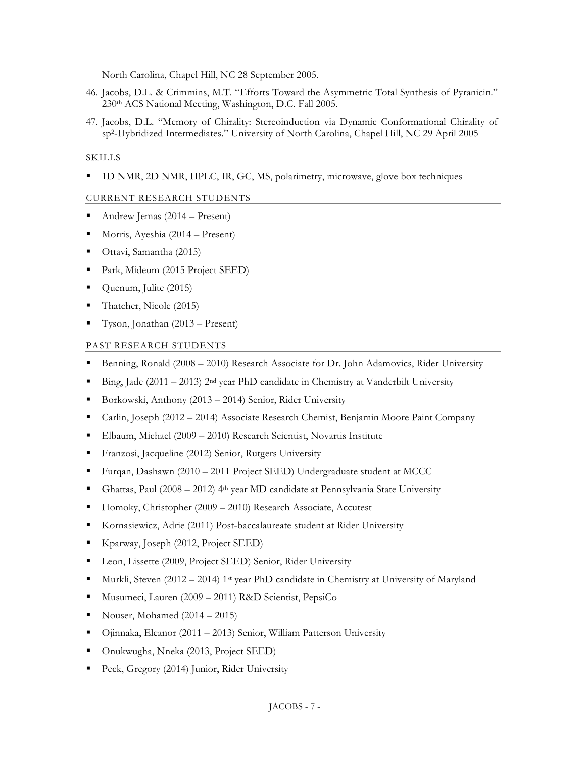North Carolina, Chapel Hill, NC 28 September 2005.

- 46. Jacobs, D.L. & Crimmins, M.T. "Efforts Toward the Asymmetric Total Synthesis of Pyranicin." 230th ACS National Meeting, Washington, D.C. Fall 2005.
- 47. Jacobs, D.L. "Memory of Chirality: Stereoinduction via Dynamic Conformational Chirality of sp2-Hybridized Intermediates." University of North Carolina, Chapel Hill, NC 29 April 2005

#### SKILLS

1D NMR, 2D NMR, HPLC, IR, GC, MS, polarimetry, microwave, glove box techniques

#### CURRENT RESEARCH STUDENTS

- Andrew Jemas (2014 Present)
- Morris, Ayeshia (2014 Present)
- Ottavi, Samantha (2015)
- Park, Mideum (2015 Project SEED)
- Quenum, Julite (2015)
- Thatcher, Nicole (2015)
- Tyson, Jonathan (2013 Present)

#### PAST RESEARCH STUDENTS

- **Benning, Ronald (2008 2010) Research Associate for Dr. John Adamovics, Rider University**
- Bing, Jade (2011 2013) 2<sup>nd</sup> year PhD candidate in Chemistry at Vanderbilt University
- Borkowski, Anthony (2013 2014) Senior, Rider University
- Carlin, Joseph (2012 2014) Associate Research Chemist, Benjamin Moore Paint Company
- Elbaum, Michael (2009 2010) Research Scientist, Novartis Institute
- Franzosi, Jacqueline (2012) Senior, Rutgers University
- Furqan, Dashawn (2010 2011 Project SEED) Undergraduate student at MCCC
- Ghattas, Paul (2008 2012) 4th year MD candidate at Pennsylvania State University
- Homoky, Christopher (2009 2010) Research Associate, Accutest
- Kornasiewicz, Adrie (2011) Post-baccalaureate student at Rider University
- Kparway, Joseph (2012, Project SEED)
- Leon, Lissette (2009, Project SEED) Senior, Rider University
- Murkli, Steven (2012 2014) 1st year PhD candidate in Chemistry at University of Maryland
- Musumeci, Lauren (2009 2011) R&D Scientist, PepsiCo
- Nouser, Mohamed  $(2014 2015)$
- Ojinnaka, Eleanor (2011 2013) Senior, William Patterson University
- Onukwugha, Nneka (2013, Project SEED)
- Peck, Gregory (2014) Junior, Rider University